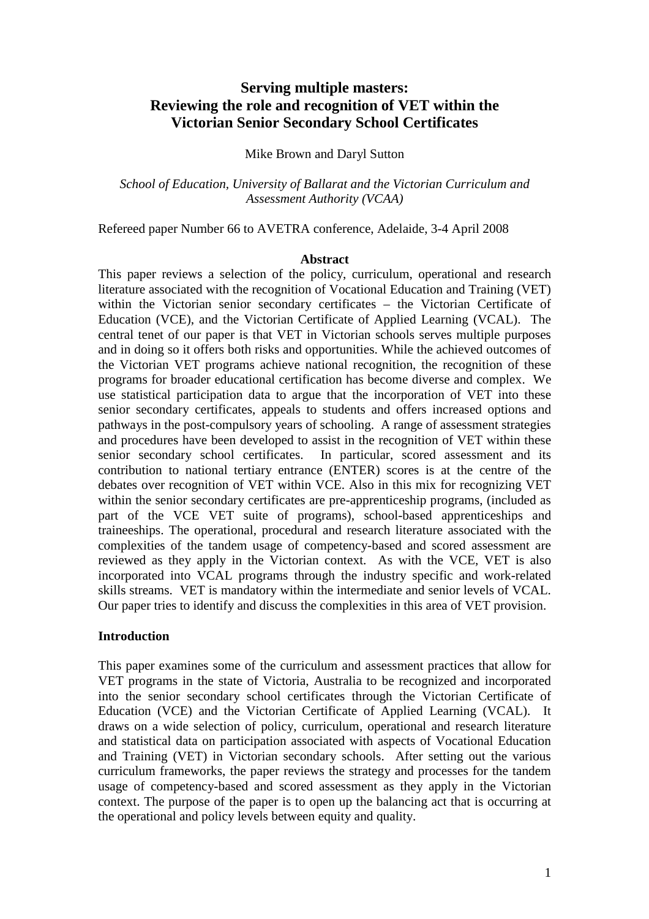# **Serving multiple masters: Reviewing the role and recognition of VET within the Victorian Senior Secondary School Certificates**

#### Mike Brown and Daryl Sutton

*School of Education, University of Ballarat and the Victorian Curriculum and Assessment Authority (VCAA)* 

Refereed paper Number 66 to AVETRA conference, Adelaide, 3-4 April 2008

#### **Abstract**

This paper reviews a selection of the policy, curriculum, operational and research literature associated with the recognition of Vocational Education and Training (VET) within the Victorian senior secondary certificates – the Victorian Certificate of Education (VCE), and the Victorian Certificate of Applied Learning (VCAL). The central tenet of our paper is that VET in Victorian schools serves multiple purposes and in doing so it offers both risks and opportunities. While the achieved outcomes of the Victorian VET programs achieve national recognition, the recognition of these programs for broader educational certification has become diverse and complex. We use statistical participation data to argue that the incorporation of VET into these senior secondary certificates, appeals to students and offers increased options and pathways in the post-compulsory years of schooling. A range of assessment strategies and procedures have been developed to assist in the recognition of VET within these senior secondary school certificates. In particular, scored assessment and its contribution to national tertiary entrance (ENTER) scores is at the centre of the debates over recognition of VET within VCE. Also in this mix for recognizing VET within the senior secondary certificates are pre-apprenticeship programs, (included as part of the VCE VET suite of programs), school-based apprenticeships and traineeships. The operational, procedural and research literature associated with the complexities of the tandem usage of competency-based and scored assessment are reviewed as they apply in the Victorian context. As with the VCE, VET is also incorporated into VCAL programs through the industry specific and work-related skills streams. VET is mandatory within the intermediate and senior levels of VCAL. Our paper tries to identify and discuss the complexities in this area of VET provision.

#### **Introduction**

This paper examines some of the curriculum and assessment practices that allow for VET programs in the state of Victoria, Australia to be recognized and incorporated into the senior secondary school certificates through the Victorian Certificate of Education (VCE) and the Victorian Certificate of Applied Learning (VCAL). It draws on a wide selection of policy, curriculum, operational and research literature and statistical data on participation associated with aspects of Vocational Education and Training (VET) in Victorian secondary schools. After setting out the various curriculum frameworks, the paper reviews the strategy and processes for the tandem usage of competency-based and scored assessment as they apply in the Victorian context. The purpose of the paper is to open up the balancing act that is occurring at the operational and policy levels between equity and quality.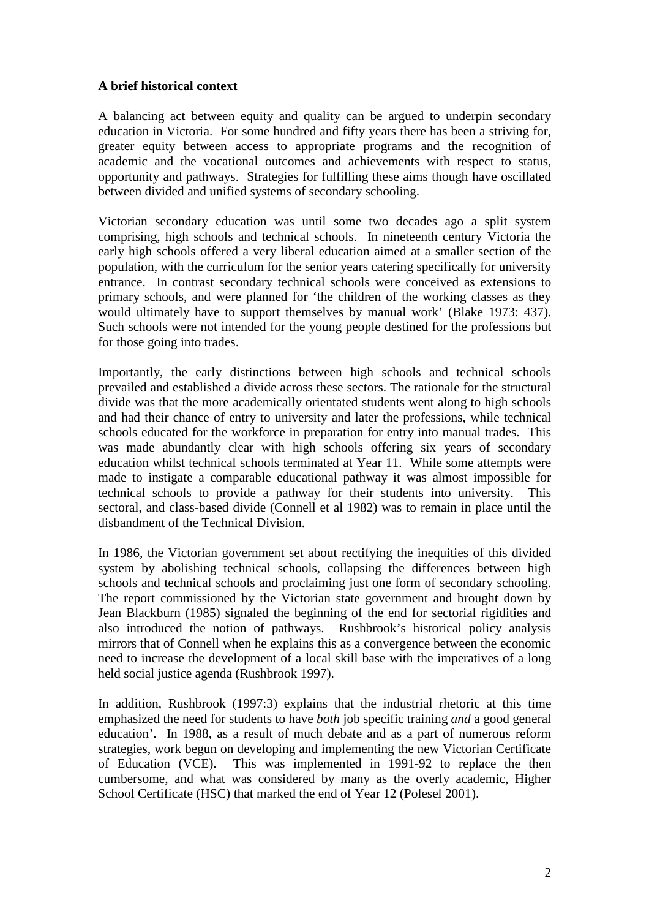## **A brief historical context**

A balancing act between equity and quality can be argued to underpin secondary education in Victoria. For some hundred and fifty years there has been a striving for, greater equity between access to appropriate programs and the recognition of academic and the vocational outcomes and achievements with respect to status, opportunity and pathways. Strategies for fulfilling these aims though have oscillated between divided and unified systems of secondary schooling.

Victorian secondary education was until some two decades ago a split system comprising, high schools and technical schools. In nineteenth century Victoria the early high schools offered a very liberal education aimed at a smaller section of the population, with the curriculum for the senior years catering specifically for university entrance. In contrast secondary technical schools were conceived as extensions to primary schools, and were planned for 'the children of the working classes as they would ultimately have to support themselves by manual work' (Blake 1973: 437). Such schools were not intended for the young people destined for the professions but for those going into trades.

Importantly, the early distinctions between high schools and technical schools prevailed and established a divide across these sectors. The rationale for the structural divide was that the more academically orientated students went along to high schools and had their chance of entry to university and later the professions, while technical schools educated for the workforce in preparation for entry into manual trades. This was made abundantly clear with high schools offering six years of secondary education whilst technical schools terminated at Year 11. While some attempts were made to instigate a comparable educational pathway it was almost impossible for technical schools to provide a pathway for their students into university. This sectoral, and class-based divide (Connell et al 1982) was to remain in place until the disbandment of the Technical Division.

In 1986, the Victorian government set about rectifying the inequities of this divided system by abolishing technical schools, collapsing the differences between high schools and technical schools and proclaiming just one form of secondary schooling. The report commissioned by the Victorian state government and brought down by Jean Blackburn (1985) signaled the beginning of the end for sectorial rigidities and also introduced the notion of pathways. Rushbrook's historical policy analysis mirrors that of Connell when he explains this as a convergence between the economic need to increase the development of a local skill base with the imperatives of a long held social justice agenda (Rushbrook 1997).

In addition, Rushbrook (1997:3) explains that the industrial rhetoric at this time emphasized the need for students to have *both* job specific training *and* a good general education'. In 1988, as a result of much debate and as a part of numerous reform strategies, work begun on developing and implementing the new Victorian Certificate of Education (VCE). This was implemented in 1991-92 to replace the then cumbersome, and what was considered by many as the overly academic, Higher School Certificate (HSC) that marked the end of Year 12 (Polesel 2001).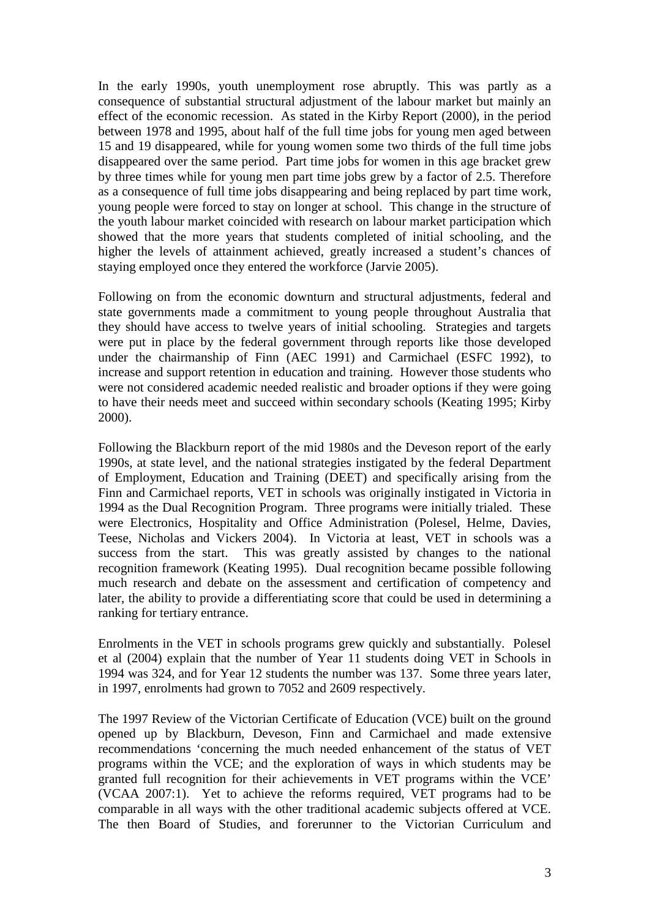In the early 1990s, youth unemployment rose abruptly. This was partly as a consequence of substantial structural adjustment of the labour market but mainly an effect of the economic recession. As stated in the Kirby Report (2000), in the period between 1978 and 1995, about half of the full time jobs for young men aged between 15 and 19 disappeared, while for young women some two thirds of the full time jobs disappeared over the same period. Part time jobs for women in this age bracket grew by three times while for young men part time jobs grew by a factor of 2.5. Therefore as a consequence of full time jobs disappearing and being replaced by part time work, young people were forced to stay on longer at school. This change in the structure of the youth labour market coincided with research on labour market participation which showed that the more years that students completed of initial schooling, and the higher the levels of attainment achieved, greatly increased a student's chances of staying employed once they entered the workforce (Jarvie 2005).

Following on from the economic downturn and structural adjustments, federal and state governments made a commitment to young people throughout Australia that they should have access to twelve years of initial schooling. Strategies and targets were put in place by the federal government through reports like those developed under the chairmanship of Finn (AEC 1991) and Carmichael (ESFC 1992), to increase and support retention in education and training. However those students who were not considered academic needed realistic and broader options if they were going to have their needs meet and succeed within secondary schools (Keating 1995; Kirby 2000).

Following the Blackburn report of the mid 1980s and the Deveson report of the early 1990s, at state level, and the national strategies instigated by the federal Department of Employment, Education and Training (DEET) and specifically arising from the Finn and Carmichael reports, VET in schools was originally instigated in Victoria in 1994 as the Dual Recognition Program. Three programs were initially trialed. These were Electronics, Hospitality and Office Administration (Polesel, Helme, Davies, Teese, Nicholas and Vickers 2004). In Victoria at least, VET in schools was a success from the start. This was greatly assisted by changes to the national recognition framework (Keating 1995). Dual recognition became possible following much research and debate on the assessment and certification of competency and later, the ability to provide a differentiating score that could be used in determining a ranking for tertiary entrance.

Enrolments in the VET in schools programs grew quickly and substantially. Polesel et al (2004) explain that the number of Year 11 students doing VET in Schools in 1994 was 324, and for Year 12 students the number was 137. Some three years later, in 1997, enrolments had grown to 7052 and 2609 respectively.

The 1997 Review of the Victorian Certificate of Education (VCE) built on the ground opened up by Blackburn, Deveson, Finn and Carmichael and made extensive recommendations 'concerning the much needed enhancement of the status of VET programs within the VCE; and the exploration of ways in which students may be granted full recognition for their achievements in VET programs within the VCE' (VCAA 2007:1). Yet to achieve the reforms required, VET programs had to be comparable in all ways with the other traditional academic subjects offered at VCE. The then Board of Studies, and forerunner to the Victorian Curriculum and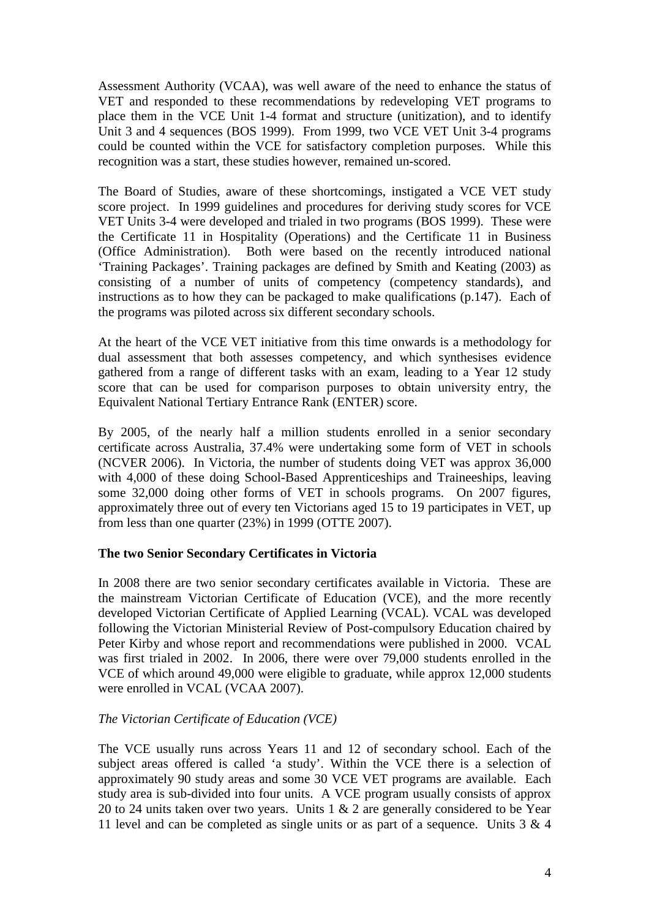Assessment Authority (VCAA), was well aware of the need to enhance the status of VET and responded to these recommendations by redeveloping VET programs to place them in the VCE Unit 1-4 format and structure (unitization), and to identify Unit 3 and 4 sequences (BOS 1999). From 1999, two VCE VET Unit 3-4 programs could be counted within the VCE for satisfactory completion purposes. While this recognition was a start, these studies however, remained un-scored.

The Board of Studies, aware of these shortcomings, instigated a VCE VET study score project. In 1999 guidelines and procedures for deriving study scores for VCE VET Units 3-4 were developed and trialed in two programs (BOS 1999). These were the Certificate 11 in Hospitality (Operations) and the Certificate 11 in Business (Office Administration). Both were based on the recently introduced national 'Training Packages'. Training packages are defined by Smith and Keating (2003) as consisting of a number of units of competency (competency standards), and instructions as to how they can be packaged to make qualifications (p.147). Each of the programs was piloted across six different secondary schools.

At the heart of the VCE VET initiative from this time onwards is a methodology for dual assessment that both assesses competency, and which synthesises evidence gathered from a range of different tasks with an exam, leading to a Year 12 study score that can be used for comparison purposes to obtain university entry, the Equivalent National Tertiary Entrance Rank (ENTER) score.

By 2005, of the nearly half a million students enrolled in a senior secondary certificate across Australia, 37.4% were undertaking some form of VET in schools (NCVER 2006). In Victoria, the number of students doing VET was approx 36,000 with 4,000 of these doing School-Based Apprenticeships and Traineeships, leaving some 32,000 doing other forms of VET in schools programs. On 2007 figures, approximately three out of every ten Victorians aged 15 to 19 participates in VET, up from less than one quarter (23%) in 1999 (OTTE 2007).

## **The two Senior Secondary Certificates in Victoria**

In 2008 there are two senior secondary certificates available in Victoria. These are the mainstream Victorian Certificate of Education (VCE), and the more recently developed Victorian Certificate of Applied Learning (VCAL). VCAL was developed following the Victorian Ministerial Review of Post-compulsory Education chaired by Peter Kirby and whose report and recommendations were published in 2000. VCAL was first trialed in 2002. In 2006, there were over 79,000 students enrolled in the VCE of which around 49,000 were eligible to graduate, while approx 12,000 students were enrolled in VCAL (VCAA 2007).

## *The Victorian Certificate of Education (VCE)*

The VCE usually runs across Years 11 and 12 of secondary school. Each of the subject areas offered is called 'a study'. Within the VCE there is a selection of approximately 90 study areas and some 30 VCE VET programs are available. Each study area is sub-divided into four units. A VCE program usually consists of approx 20 to 24 units taken over two years. Units 1 & 2 are generally considered to be Year 11 level and can be completed as single units or as part of a sequence. Units 3 & 4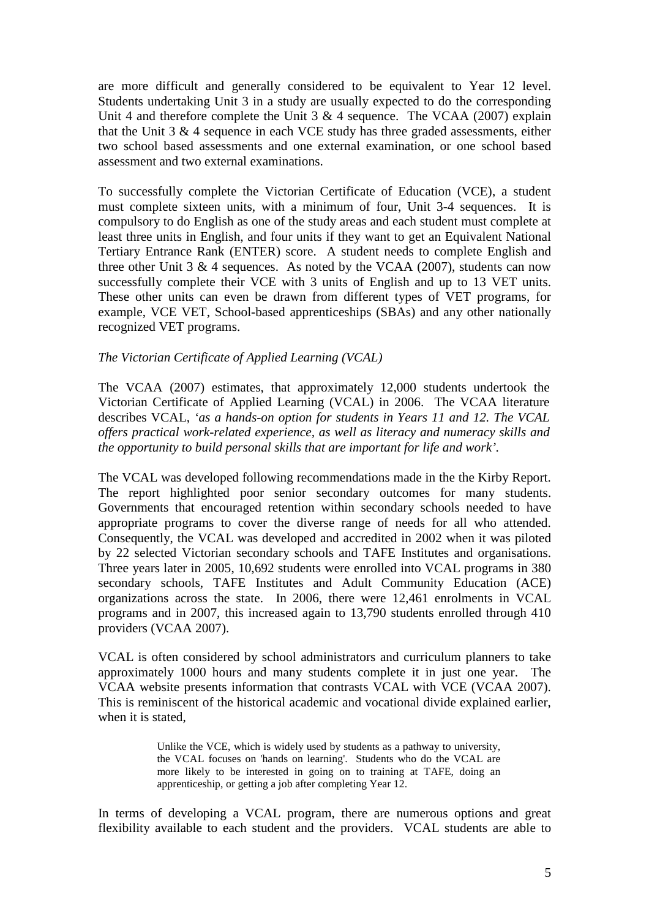are more difficult and generally considered to be equivalent to Year 12 level. Students undertaking Unit 3 in a study are usually expected to do the corresponding Unit 4 and therefore complete the Unit 3  $\&$  4 sequence. The VCAA (2007) explain that the Unit  $3 \& 4$  sequence in each VCE study has three graded assessments, either two school based assessments and one external examination, or one school based assessment and two external examinations.

To successfully complete the Victorian Certificate of Education (VCE), a student must complete sixteen units, with a minimum of four, Unit 3-4 sequences. It is compulsory to do English as one of the study areas and each student must complete at least three units in English, and four units if they want to get an Equivalent National Tertiary Entrance Rank (ENTER) score. A student needs to complete English and three other Unit  $3 \& 4$  sequences. As noted by the VCAA (2007), students can now successfully complete their VCE with 3 units of English and up to 13 VET units. These other units can even be drawn from different types of VET programs, for example, VCE VET, School-based apprenticeships (SBAs) and any other nationally recognized VET programs.

#### *The Victorian Certificate of Applied Learning (VCAL)*

The VCAA (2007) estimates, that approximately 12,000 students undertook the Victorian Certificate of Applied Learning (VCAL) in 2006. The VCAA literature describes VCAL, *'as a hands-on option for students in Years 11 and 12. The VCAL offers practical work-related experience, as well as literacy and numeracy skills and the opportunity to build personal skills that are important for life and work'.* 

The VCAL was developed following recommendations made in the the Kirby Report. The report highlighted poor senior secondary outcomes for many students. Governments that encouraged retention within secondary schools needed to have appropriate programs to cover the diverse range of needs for all who attended. Consequently, the VCAL was developed and accredited in 2002 when it was piloted by 22 selected Victorian secondary schools and TAFE Institutes and organisations. Three years later in 2005, 10,692 students were enrolled into VCAL programs in 380 secondary schools, TAFE Institutes and Adult Community Education (ACE) organizations across the state. In 2006, there were 12,461 enrolments in VCAL programs and in 2007, this increased again to 13,790 students enrolled through 410 providers (VCAA 2007).

VCAL is often considered by school administrators and curriculum planners to take approximately 1000 hours and many students complete it in just one year. The VCAA website presents information that contrasts VCAL with VCE (VCAA 2007). This is reminiscent of the historical academic and vocational divide explained earlier, when it is stated,

> Unlike the VCE, which is widely used by students as a pathway to university, the VCAL focuses on 'hands on learning'. Students who do the VCAL are more likely to be interested in going on to training at TAFE, doing an apprenticeship, or getting a job after completing Year 12.

In terms of developing a VCAL program, there are numerous options and great flexibility available to each student and the providers. VCAL students are able to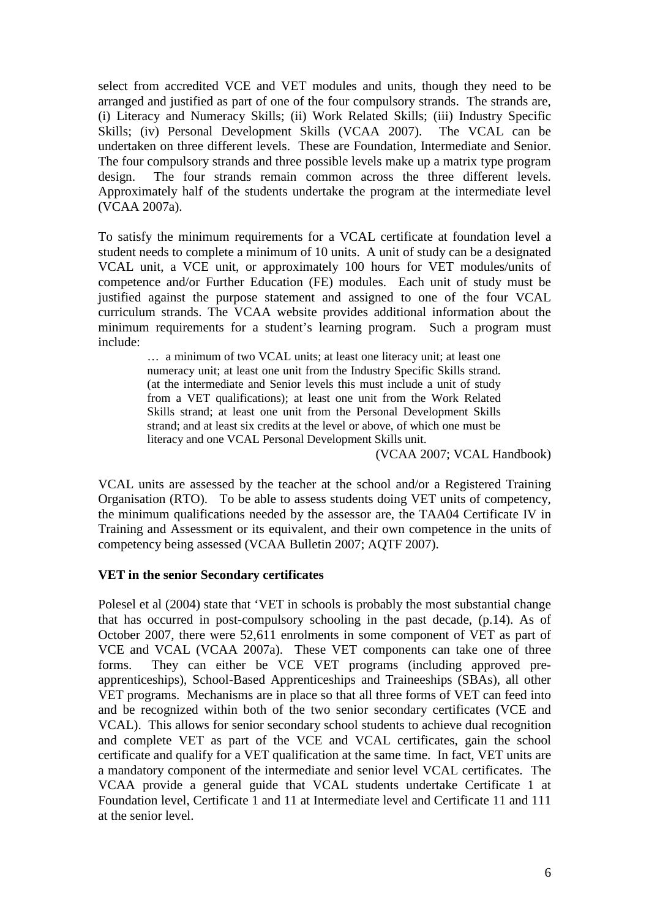select from accredited VCE and VET modules and units, though they need to be arranged and justified as part of one of the four compulsory strands. The strands are, (i) Literacy and Numeracy Skills; (ii) Work Related Skills; (iii) Industry Specific Skills; (iv) Personal Development Skills (VCAA 2007). The VCAL can be undertaken on three different levels. These are Foundation, Intermediate and Senior. The four compulsory strands and three possible levels make up a matrix type program design. The four strands remain common across the three different levels. Approximately half of the students undertake the program at the intermediate level (VCAA 2007a).

To satisfy the minimum requirements for a VCAL certificate at foundation level a student needs to complete a minimum of 10 units. A unit of study can be a designated VCAL unit, a VCE unit, or approximately 100 hours for VET modules/units of competence and/or Further Education (FE) modules. Each unit of study must be justified against the purpose statement and assigned to one of the four VCAL curriculum strands. The VCAA website provides additional information about the minimum requirements for a student's learning program. Such a program must include:

> … a minimum of two VCAL units; at least one literacy unit; at least one numeracy unit; at least one unit from the Industry Specific Skills strand. (at the intermediate and Senior levels this must include a unit of study from a VET qualifications); at least one unit from the Work Related Skills strand; at least one unit from the Personal Development Skills strand; and at least six credits at the level or above, of which one must be literacy and one VCAL Personal Development Skills unit.

> > (VCAA 2007; VCAL Handbook)

VCAL units are assessed by the teacher at the school and/or a Registered Training Organisation (RTO). To be able to assess students doing VET units of competency, the minimum qualifications needed by the assessor are, the TAA04 Certificate IV in Training and Assessment or its equivalent, and their own competence in the units of competency being assessed (VCAA Bulletin 2007; AQTF 2007).

#### **VET in the senior Secondary certificates**

Polesel et al (2004) state that 'VET in schools is probably the most substantial change that has occurred in post-compulsory schooling in the past decade, (p.14). As of October 2007, there were 52,611 enrolments in some component of VET as part of VCE and VCAL (VCAA 2007a). These VET components can take one of three forms. They can either be VCE VET programs (including approved preapprenticeships), School-Based Apprenticeships and Traineeships (SBAs), all other VET programs. Mechanisms are in place so that all three forms of VET can feed into and be recognized within both of the two senior secondary certificates (VCE and VCAL). This allows for senior secondary school students to achieve dual recognition and complete VET as part of the VCE and VCAL certificates, gain the school certificate and qualify for a VET qualification at the same time. In fact, VET units are a mandatory component of the intermediate and senior level VCAL certificates. The VCAA provide a general guide that VCAL students undertake Certificate 1 at Foundation level, Certificate 1 and 11 at Intermediate level and Certificate 11 and 111 at the senior level.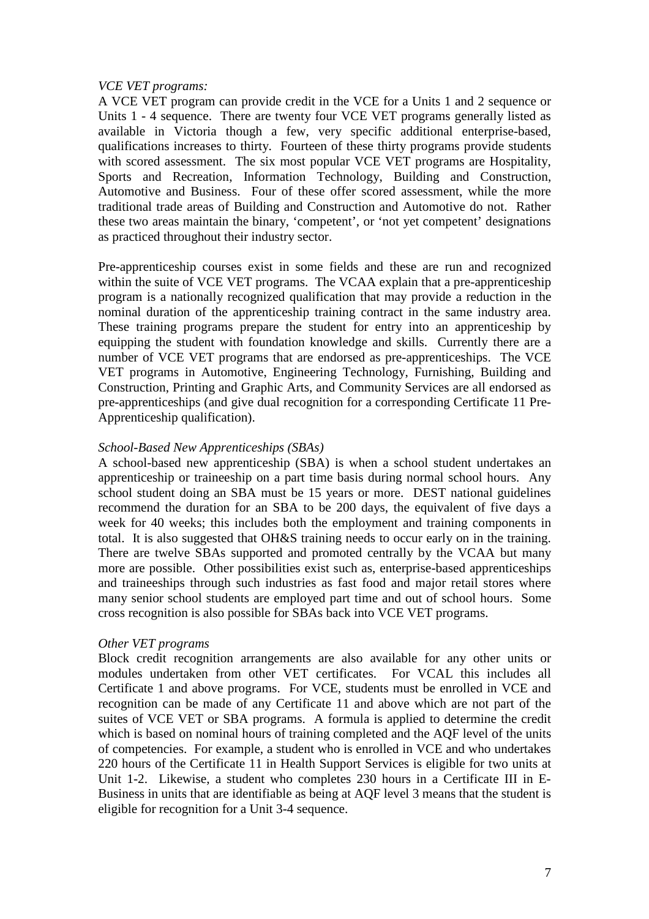### *VCE VET programs:*

A VCE VET program can provide credit in the VCE for a Units 1 and 2 sequence or Units 1 - 4 sequence. There are twenty four VCE VET programs generally listed as available in Victoria though a few, very specific additional enterprise-based, qualifications increases to thirty. Fourteen of these thirty programs provide students with scored assessment. The six most popular VCE VET programs are Hospitality, Sports and Recreation, Information Technology, Building and Construction, Automotive and Business. Four of these offer scored assessment, while the more traditional trade areas of Building and Construction and Automotive do not. Rather these two areas maintain the binary, 'competent', or 'not yet competent' designations as practiced throughout their industry sector.

Pre-apprenticeship courses exist in some fields and these are run and recognized within the suite of VCE VET programs. The VCAA explain that a pre-apprenticeship program is a nationally recognized qualification that may provide a reduction in the nominal duration of the apprenticeship training contract in the same industry area. These training programs prepare the student for entry into an apprenticeship by equipping the student with foundation knowledge and skills. Currently there are a number of VCE VET programs that are endorsed as pre-apprenticeships. The VCE VET programs in Automotive, Engineering Technology, Furnishing, Building and Construction, Printing and Graphic Arts, and Community Services are all endorsed as pre-apprenticeships (and give dual recognition for a corresponding Certificate 11 Pre-Apprenticeship qualification).

#### *School-Based New Apprenticeships (SBAs)*

A school-based new apprenticeship (SBA) is when a school student undertakes an apprenticeship or traineeship on a part time basis during normal school hours. Any school student doing an SBA must be 15 years or more. DEST national guidelines recommend the duration for an SBA to be 200 days, the equivalent of five days a week for 40 weeks; this includes both the employment and training components in total. It is also suggested that OH&S training needs to occur early on in the training. There are twelve SBAs supported and promoted centrally by the VCAA but many more are possible. Other possibilities exist such as, enterprise-based apprenticeships and traineeships through such industries as fast food and major retail stores where many senior school students are employed part time and out of school hours. Some cross recognition is also possible for SBAs back into VCE VET programs.

#### *Other VET programs*

Block credit recognition arrangements are also available for any other units or modules undertaken from other VET certificates. For VCAL this includes all Certificate 1 and above programs. For VCE, students must be enrolled in VCE and recognition can be made of any Certificate 11 and above which are not part of the suites of VCE VET or SBA programs. A formula is applied to determine the credit which is based on nominal hours of training completed and the AQF level of the units of competencies. For example, a student who is enrolled in VCE and who undertakes 220 hours of the Certificate 11 in Health Support Services is eligible for two units at Unit 1-2. Likewise, a student who completes 230 hours in a Certificate III in E-Business in units that are identifiable as being at AQF level 3 means that the student is eligible for recognition for a Unit 3-4 sequence.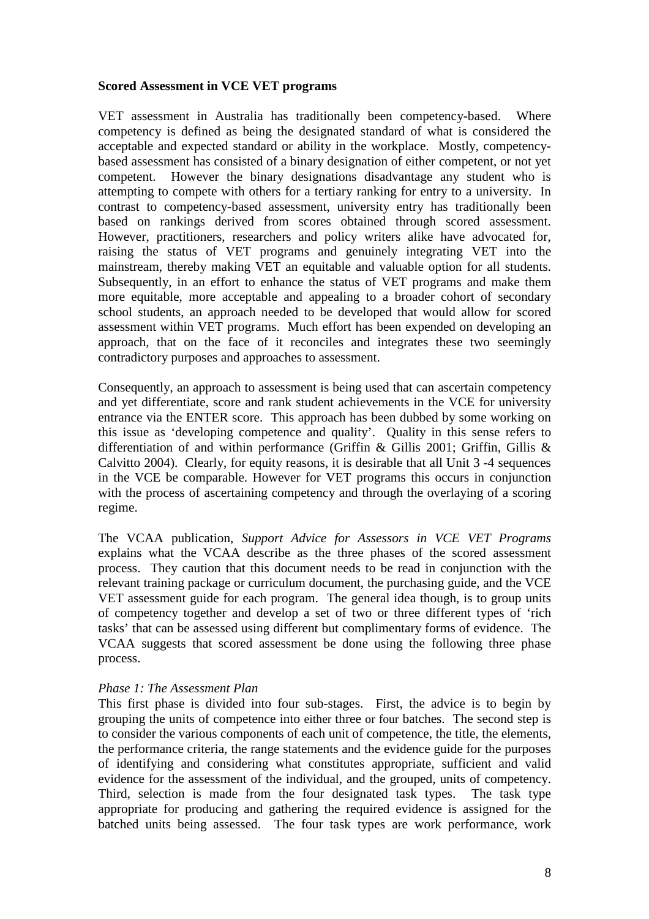#### **Scored Assessment in VCE VET programs**

VET assessment in Australia has traditionally been competency-based. Where competency is defined as being the designated standard of what is considered the acceptable and expected standard or ability in the workplace. Mostly, competencybased assessment has consisted of a binary designation of either competent, or not yet competent. However the binary designations disadvantage any student who is attempting to compete with others for a tertiary ranking for entry to a university. In contrast to competency-based assessment, university entry has traditionally been based on rankings derived from scores obtained through scored assessment. However, practitioners, researchers and policy writers alike have advocated for, raising the status of VET programs and genuinely integrating VET into the mainstream, thereby making VET an equitable and valuable option for all students. Subsequently, in an effort to enhance the status of VET programs and make them more equitable, more acceptable and appealing to a broader cohort of secondary school students, an approach needed to be developed that would allow for scored assessment within VET programs. Much effort has been expended on developing an approach, that on the face of it reconciles and integrates these two seemingly contradictory purposes and approaches to assessment.

Consequently, an approach to assessment is being used that can ascertain competency and yet differentiate, score and rank student achievements in the VCE for university entrance via the ENTER score. This approach has been dubbed by some working on this issue as 'developing competence and quality'. Quality in this sense refers to differentiation of and within performance (Griffin & Gillis 2001; Griffin, Gillis & Calvitto 2004). Clearly, for equity reasons, it is desirable that all Unit 3 -4 sequences in the VCE be comparable. However for VET programs this occurs in conjunction with the process of ascertaining competency and through the overlaying of a scoring regime.

The VCAA publication, *Support Advice for Assessors in VCE VET Programs* explains what the VCAA describe as the three phases of the scored assessment process. They caution that this document needs to be read in conjunction with the relevant training package or curriculum document, the purchasing guide, and the VCE VET assessment guide for each program. The general idea though, is to group units of competency together and develop a set of two or three different types of 'rich tasks' that can be assessed using different but complimentary forms of evidence. The VCAA suggests that scored assessment be done using the following three phase process.

#### *Phase 1: The Assessment Plan*

This first phase is divided into four sub-stages. First, the advice is to begin by grouping the units of competence into either three or four batches. The second step is to consider the various components of each unit of competence, the title, the elements, the performance criteria, the range statements and the evidence guide for the purposes of identifying and considering what constitutes appropriate, sufficient and valid evidence for the assessment of the individual, and the grouped, units of competency. Third, selection is made from the four designated task types. The task type appropriate for producing and gathering the required evidence is assigned for the batched units being assessed. The four task types are work performance, work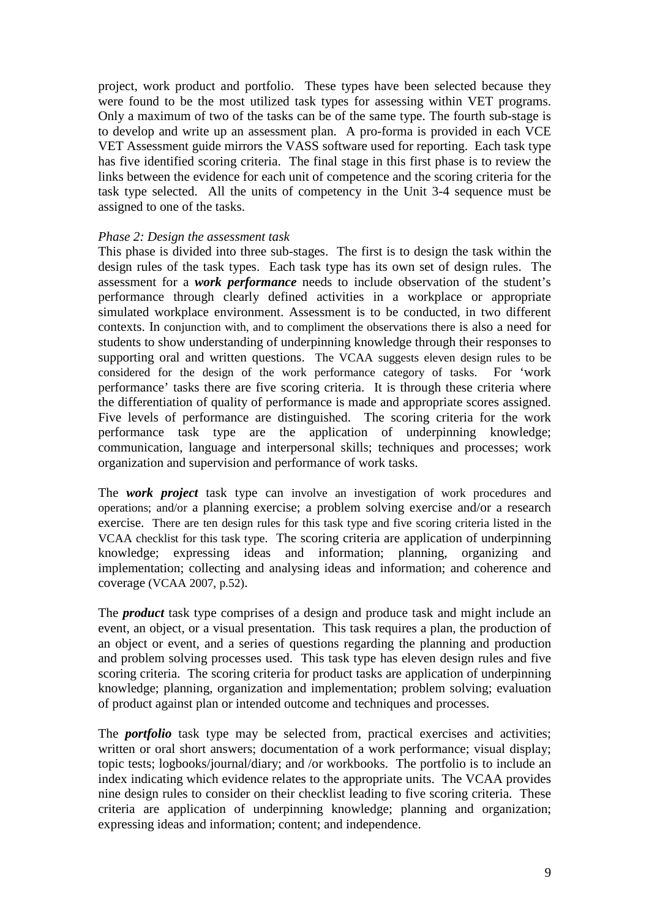project, work product and portfolio. These types have been selected because they were found to be the most utilized task types for assessing within VET programs. Only a maximum of two of the tasks can be of the same type. The fourth sub-stage is to develop and write up an assessment plan. A pro-forma is provided in each VCE VET Assessment guide mirrors the VASS software used for reporting. Each task type has five identified scoring criteria. The final stage in this first phase is to review the links between the evidence for each unit of competence and the scoring criteria for the task type selected. All the units of competency in the Unit 3-4 sequence must be assigned to one of the tasks.

#### *Phase 2: Design the assessment task*

This phase is divided into three sub-stages. The first is to design the task within the design rules of the task types. Each task type has its own set of design rules. The assessment for a *work performance* needs to include observation of the student's performance through clearly defined activities in a workplace or appropriate simulated workplace environment. Assessment is to be conducted, in two different contexts. In conjunction with, and to compliment the observations there is also a need for students to show understanding of underpinning knowledge through their responses to supporting oral and written questions. The VCAA suggests eleven design rules to be considered for the design of the work performance category of tasks. For 'work performance' tasks there are five scoring criteria. It is through these criteria where the differentiation of quality of performance is made and appropriate scores assigned. Five levels of performance are distinguished. The scoring criteria for the work performance task type are the application of underpinning knowledge; communication, language and interpersonal skills; techniques and processes; work organization and supervision and performance of work tasks.

The *work project* task type can involve an investigation of work procedures and operations; and/or a planning exercise; a problem solving exercise and/or a research exercise. There are ten design rules for this task type and five scoring criteria listed in the VCAA checklist for this task type. The scoring criteria are application of underpinning knowledge; expressing ideas and information; planning, organizing and implementation; collecting and analysing ideas and information; and coherence and coverage (VCAA 2007, p.52).

The *product* task type comprises of a design and produce task and might include an event, an object, or a visual presentation. This task requires a plan, the production of an object or event, and a series of questions regarding the planning and production and problem solving processes used. This task type has eleven design rules and five scoring criteria. The scoring criteria for product tasks are application of underpinning knowledge; planning, organization and implementation; problem solving; evaluation of product against plan or intended outcome and techniques and processes.

The *portfolio* task type may be selected from, practical exercises and activities; written or oral short answers; documentation of a work performance; visual display; topic tests; logbooks/journal/diary; and /or workbooks. The portfolio is to include an index indicating which evidence relates to the appropriate units. The VCAA provides nine design rules to consider on their checklist leading to five scoring criteria. These criteria are application of underpinning knowledge; planning and organization; expressing ideas and information; content; and independence.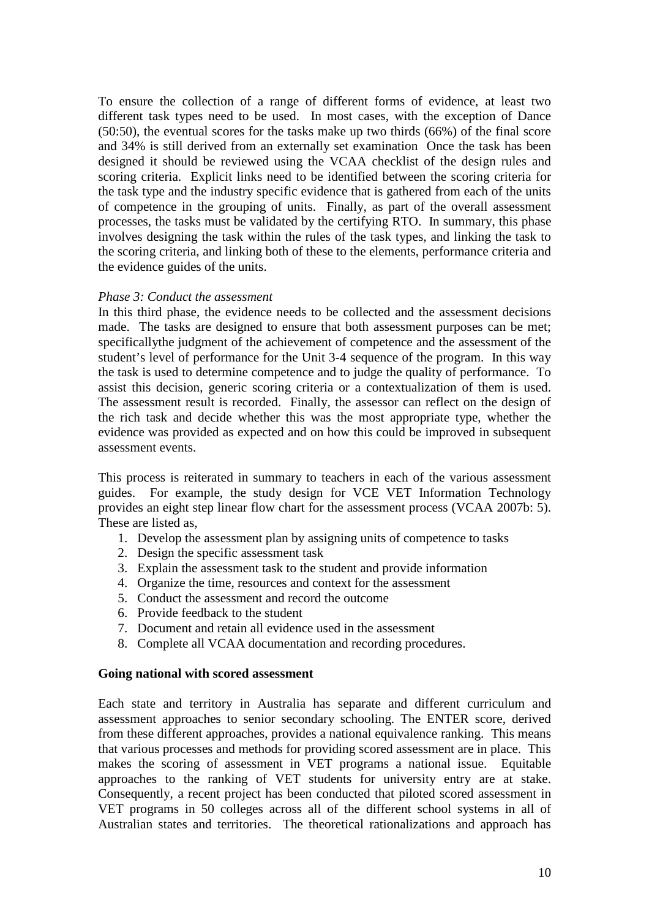To ensure the collection of a range of different forms of evidence, at least two different task types need to be used. In most cases, with the exception of Dance (50:50), the eventual scores for the tasks make up two thirds (66%) of the final score and 34% is still derived from an externally set examination Once the task has been designed it should be reviewed using the VCAA checklist of the design rules and scoring criteria. Explicit links need to be identified between the scoring criteria for the task type and the industry specific evidence that is gathered from each of the units of competence in the grouping of units. Finally, as part of the overall assessment processes, the tasks must be validated by the certifying RTO. In summary, this phase involves designing the task within the rules of the task types, and linking the task to the scoring criteria, and linking both of these to the elements, performance criteria and the evidence guides of the units.

#### *Phase 3: Conduct the assessment*

In this third phase, the evidence needs to be collected and the assessment decisions made. The tasks are designed to ensure that both assessment purposes can be met; specificallythe judgment of the achievement of competence and the assessment of the student's level of performance for the Unit 3-4 sequence of the program. In this way the task is used to determine competence and to judge the quality of performance. To assist this decision, generic scoring criteria or a contextualization of them is used. The assessment result is recorded. Finally, the assessor can reflect on the design of the rich task and decide whether this was the most appropriate type, whether the evidence was provided as expected and on how this could be improved in subsequent assessment events.

This process is reiterated in summary to teachers in each of the various assessment guides. For example, the study design for VCE VET Information Technology provides an eight step linear flow chart for the assessment process (VCAA 2007b: 5). These are listed as,

- 1. Develop the assessment plan by assigning units of competence to tasks
- 2. Design the specific assessment task
- 3. Explain the assessment task to the student and provide information
- 4. Organize the time, resources and context for the assessment
- 5. Conduct the assessment and record the outcome
- 6. Provide feedback to the student
- 7. Document and retain all evidence used in the assessment
- 8. Complete all VCAA documentation and recording procedures.

#### **Going national with scored assessment**

Each state and territory in Australia has separate and different curriculum and assessment approaches to senior secondary schooling. The ENTER score, derived from these different approaches, provides a national equivalence ranking. This means that various processes and methods for providing scored assessment are in place. This makes the scoring of assessment in VET programs a national issue. Equitable approaches to the ranking of VET students for university entry are at stake. Consequently, a recent project has been conducted that piloted scored assessment in VET programs in 50 colleges across all of the different school systems in all of Australian states and territories. The theoretical rationalizations and approach has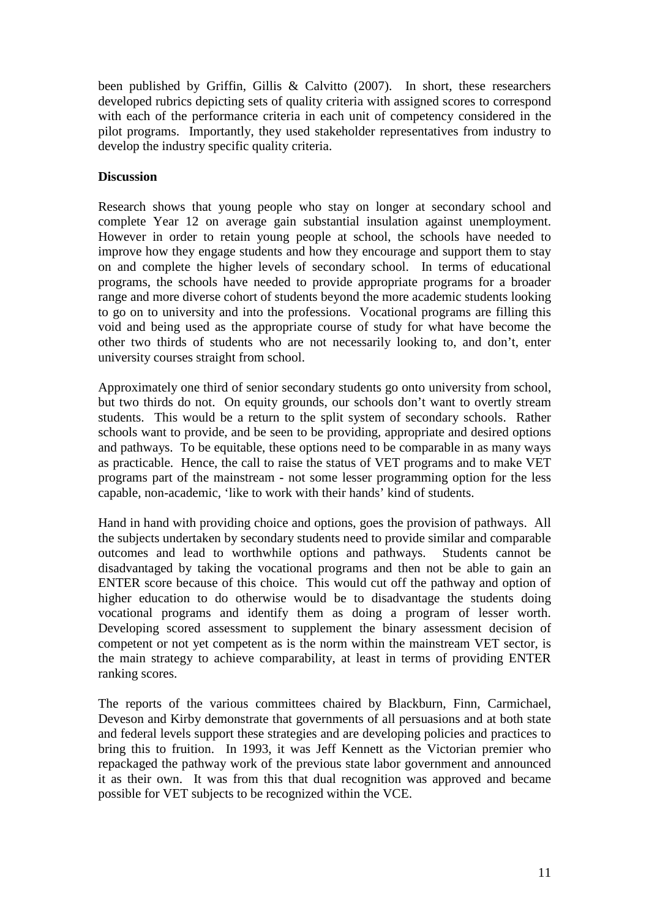been published by Griffin, Gillis & Calvitto (2007). In short, these researchers developed rubrics depicting sets of quality criteria with assigned scores to correspond with each of the performance criteria in each unit of competency considered in the pilot programs. Importantly, they used stakeholder representatives from industry to develop the industry specific quality criteria.

### **Discussion**

Research shows that young people who stay on longer at secondary school and complete Year 12 on average gain substantial insulation against unemployment. However in order to retain young people at school, the schools have needed to improve how they engage students and how they encourage and support them to stay on and complete the higher levels of secondary school. In terms of educational programs, the schools have needed to provide appropriate programs for a broader range and more diverse cohort of students beyond the more academic students looking to go on to university and into the professions. Vocational programs are filling this void and being used as the appropriate course of study for what have become the other two thirds of students who are not necessarily looking to, and don't, enter university courses straight from school.

Approximately one third of senior secondary students go onto university from school, but two thirds do not. On equity grounds, our schools don't want to overtly stream students. This would be a return to the split system of secondary schools. Rather schools want to provide, and be seen to be providing, appropriate and desired options and pathways. To be equitable, these options need to be comparable in as many ways as practicable. Hence, the call to raise the status of VET programs and to make VET programs part of the mainstream - not some lesser programming option for the less capable, non-academic, 'like to work with their hands' kind of students.

Hand in hand with providing choice and options, goes the provision of pathways. All the subjects undertaken by secondary students need to provide similar and comparable outcomes and lead to worthwhile options and pathways. Students cannot be disadvantaged by taking the vocational programs and then not be able to gain an ENTER score because of this choice. This would cut off the pathway and option of higher education to do otherwise would be to disadvantage the students doing vocational programs and identify them as doing a program of lesser worth. Developing scored assessment to supplement the binary assessment decision of competent or not yet competent as is the norm within the mainstream VET sector, is the main strategy to achieve comparability, at least in terms of providing ENTER ranking scores.

The reports of the various committees chaired by Blackburn, Finn, Carmichael, Deveson and Kirby demonstrate that governments of all persuasions and at both state and federal levels support these strategies and are developing policies and practices to bring this to fruition. In 1993, it was Jeff Kennett as the Victorian premier who repackaged the pathway work of the previous state labor government and announced it as their own. It was from this that dual recognition was approved and became possible for VET subjects to be recognized within the VCE.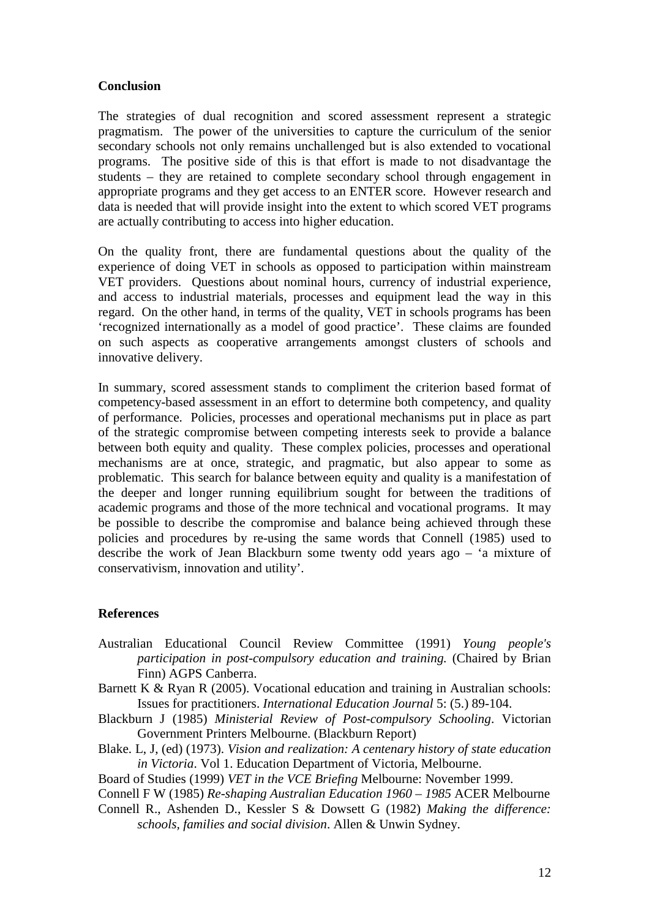#### **Conclusion**

The strategies of dual recognition and scored assessment represent a strategic pragmatism. The power of the universities to capture the curriculum of the senior secondary schools not only remains unchallenged but is also extended to vocational programs. The positive side of this is that effort is made to not disadvantage the students – they are retained to complete secondary school through engagement in appropriate programs and they get access to an ENTER score. However research and data is needed that will provide insight into the extent to which scored VET programs are actually contributing to access into higher education.

On the quality front, there are fundamental questions about the quality of the experience of doing VET in schools as opposed to participation within mainstream VET providers. Questions about nominal hours, currency of industrial experience, and access to industrial materials, processes and equipment lead the way in this regard. On the other hand, in terms of the quality, VET in schools programs has been 'recognized internationally as a model of good practice'. These claims are founded on such aspects as cooperative arrangements amongst clusters of schools and innovative delivery.

In summary, scored assessment stands to compliment the criterion based format of competency-based assessment in an effort to determine both competency, and quality of performance. Policies, processes and operational mechanisms put in place as part of the strategic compromise between competing interests seek to provide a balance between both equity and quality. These complex policies, processes and operational mechanisms are at once, strategic, and pragmatic, but also appear to some as problematic. This search for balance between equity and quality is a manifestation of the deeper and longer running equilibrium sought for between the traditions of academic programs and those of the more technical and vocational programs. It may be possible to describe the compromise and balance being achieved through these policies and procedures by re-using the same words that Connell (1985) used to describe the work of Jean Blackburn some twenty odd years ago – 'a mixture of conservativism, innovation and utility'.

#### **References**

- Australian Educational Council Review Committee (1991) *Young people's participation in post-compulsory education and training.* (Chaired by Brian Finn) AGPS Canberra.
- Barnett K & Ryan R (2005). Vocational education and training in Australian schools: Issues for practitioners. *International Education Journal* 5: (5.) 89-104.
- Blackburn J (1985) *Ministerial Review of Post-compulsory Schooling*. Victorian Government Printers Melbourne. (Blackburn Report)
- Blake. L, J, (ed) (1973). *Vision and realization: A centenary history of state education in Victoria*. Vol 1. Education Department of Victoria, Melbourne.
- Board of Studies (1999) *VET in the VCE Briefing* Melbourne: November 1999.
- Connell F W (1985) *Re-shaping Australian Education 1960 1985* ACER Melbourne
- Connell R., Ashenden D., Kessler S & Dowsett G (1982) *Making the difference: schools, families and social division*. Allen & Unwin Sydney.